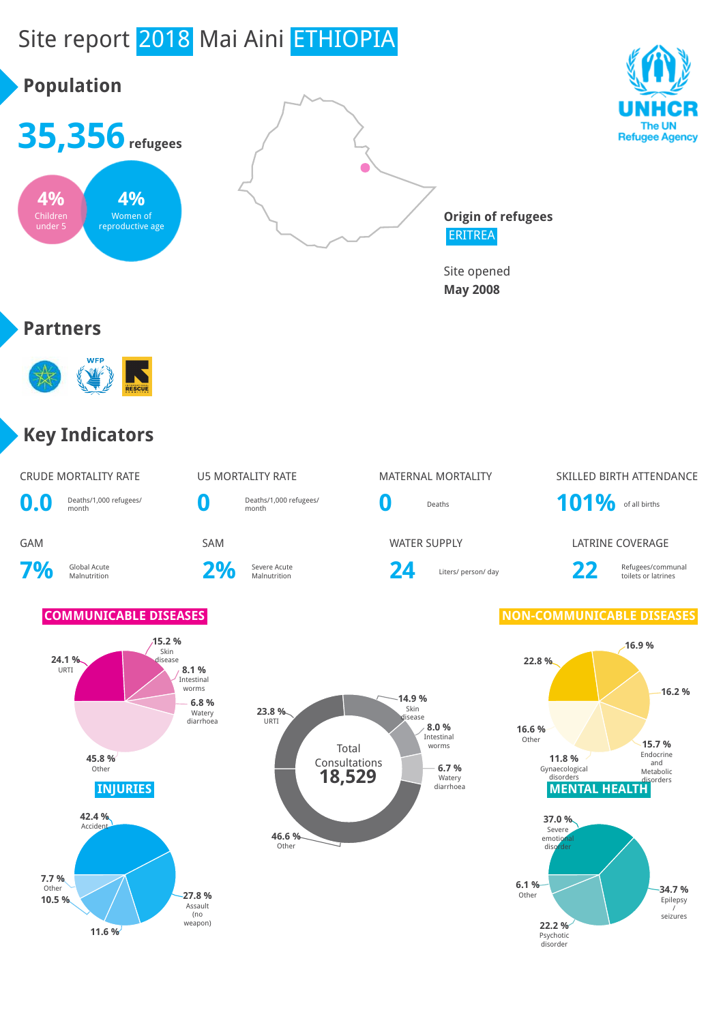





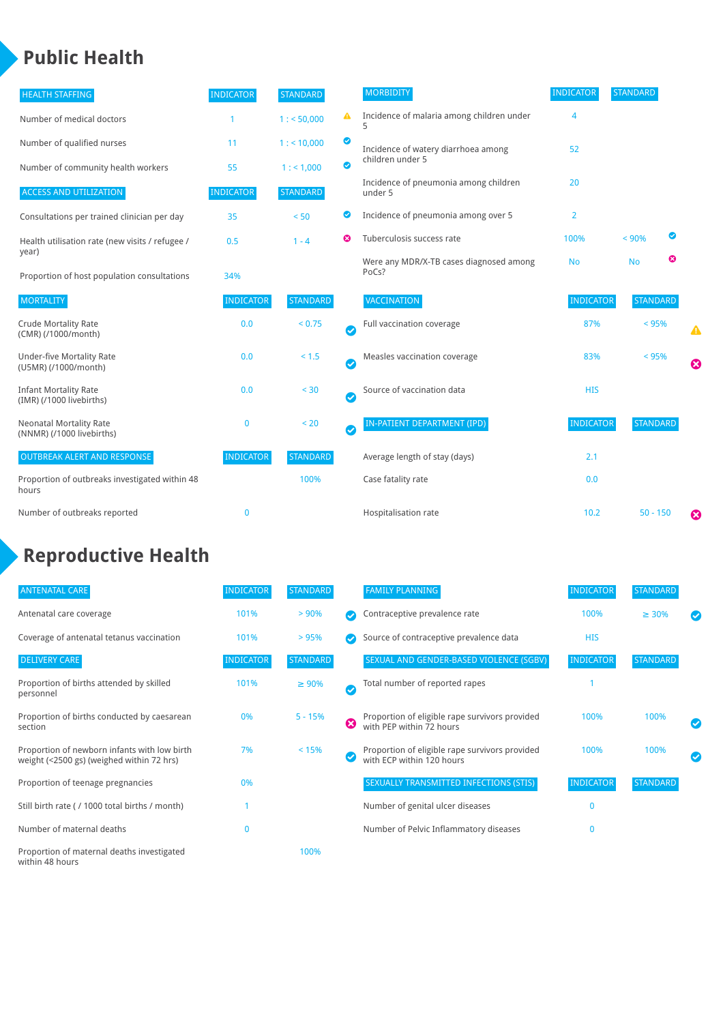### **Public Health**

| <b>HEALTH STAFFING</b>                                      | <b>INDICATOR</b> | <b>STANDARD</b> |           | <b>MORBIDITY</b>                                 | <b>INDICATOR</b> | <b>STANDARD</b> |   |
|-------------------------------------------------------------|------------------|-----------------|-----------|--------------------------------------------------|------------------|-----------------|---|
| Number of medical doctors                                   |                  | 1: 50,000       | ◭         | Incidence of malaria among children under        | 4                |                 |   |
| Number of qualified nurses                                  | 11               | $1:$ < 10,000   | ◙         | Incidence of watery diarrhoea among              | 52               |                 |   |
| Number of community health workers                          | 55               | 1: 1,000        | ◙         | children under 5                                 |                  |                 |   |
| <b>ACCESS AND UTILIZATION</b>                               | <b>INDICATOR</b> | <b>STANDARD</b> |           | Incidence of pneumonia among children<br>under 5 | 20               |                 |   |
| Consultations per trained clinician per day                 | 35               | < 50            | ◙         | Incidence of pneumonia among over 5              | 2                |                 |   |
| Health utilisation rate (new visits / refugee /             | 0.5              | $1 - 4$         | Ø         | Tuberculosis success rate                        | 100%             | $< 90\%$        | ◙ |
| year)<br>Proportion of host population consultations        | 34%              |                 |           | Were any MDR/X-TB cases diagnosed among<br>PoCs? | <b>No</b>        | <b>No</b>       | ☺ |
| <b>MORTALITY</b>                                            | <b>INDICATOR</b> | <b>STANDARD</b> |           | VACCINATION                                      | <b>INDICATOR</b> | <b>STANDARD</b> |   |
| <b>Crude Mortality Rate</b><br>(CMR) (/1000/month)          | 0.0              | < 0.75          | Ø         | Full vaccination coverage                        | 87%              | < 95%           | ▲ |
| <b>Under-five Mortality Rate</b><br>(U5MR) (/1000/month)    | 0.0              | $< 1.5$         | $\bullet$ | Measles vaccination coverage                     | 83%              | < 95%           | Ø |
| <b>Infant Mortality Rate</b><br>(IMR) (/1000 livebirths)    | 0.0              | < 30            | $\bullet$ | Source of vaccination data                       | <b>HIS</b>       |                 |   |
| <b>Neonatal Mortality Rate</b><br>(NNMR) (/1000 livebirths) | $\mathbf{0}$     | < 20            | $\bullet$ | <b>IN-PATIENT DEPARTMENT (IPD)</b>               | <b>INDICATOR</b> | <b>STANDARD</b> |   |
| <b>OUTBREAK ALERT AND RESPONSE</b>                          | <b>INDICATOR</b> | <b>STANDARD</b> |           | Average length of stay (days)                    | 2.1              |                 |   |
| Proportion of outbreaks investigated within 48<br>hours     |                  | 100%            |           | Case fatality rate                               | 0.0              |                 |   |
| Number of outbreaks reported                                | $\mathbf{0}$     |                 |           | Hospitalisation rate                             | 10.2             | $50 - 150$      | Ø |

# **Reproductive Health**

| <b>ANTENATAL CARE</b>                                                                     | <b>INDICATOR</b> | <b>STANDARD</b> |              | <b>FAMILY PLANNING</b>                                                      | <b>INDICATOR</b> | <b>STANDARD</b> |  |
|-------------------------------------------------------------------------------------------|------------------|-----------------|--------------|-----------------------------------------------------------------------------|------------------|-----------------|--|
| Antenatal care coverage                                                                   | 101%             | > 90%           |              | Contraceptive prevalence rate                                               | 100%             | $\geq 30\%$     |  |
| Coverage of antenatal tetanus vaccination                                                 | 101%             | >95%            |              | Source of contraceptive prevalence data                                     | <b>HIS</b>       |                 |  |
| <b>DELIVERY CARE</b>                                                                      | <b>INDICATOR</b> | <b>STANDARD</b> |              | SEXUAL AND GENDER-BASED VIOLENCE (SGBV)                                     | <b>INDICATOR</b> | <b>STANDARD</b> |  |
| Proportion of births attended by skilled<br>personnel                                     | 101%             | $\geq 90\%$     | $\checkmark$ | Total number of reported rapes                                              |                  |                 |  |
| Proportion of births conducted by caesarean<br>section                                    | 0%               | $5 - 15%$       | ೞ            | Proportion of eligible rape survivors provided<br>with PEP within 72 hours  | 100%             | 100%            |  |
| Proportion of newborn infants with low birth<br>weight (<2500 gs) (weighed within 72 hrs) | 7%               | < 15%           |              | Proportion of eligible rape survivors provided<br>with ECP within 120 hours | 100%             | 100%            |  |
| Proportion of teenage pregnancies                                                         | 0%               |                 |              | SEXUALLY TRANSMITTED INFECTIONS (STIS)                                      | <b>INDICATOR</b> | <b>STANDARD</b> |  |
| Still birth rate (/ 1000 total births / month)                                            |                  |                 |              | Number of genital ulcer diseases                                            | $\Omega$         |                 |  |
| Number of maternal deaths                                                                 | $\mathbf{0}$     |                 |              | Number of Pelvic Inflammatory diseases                                      | O                |                 |  |
| Proportion of maternal deaths investigated<br>within 48 hours                             |                  | 100%            |              |                                                                             |                  |                 |  |